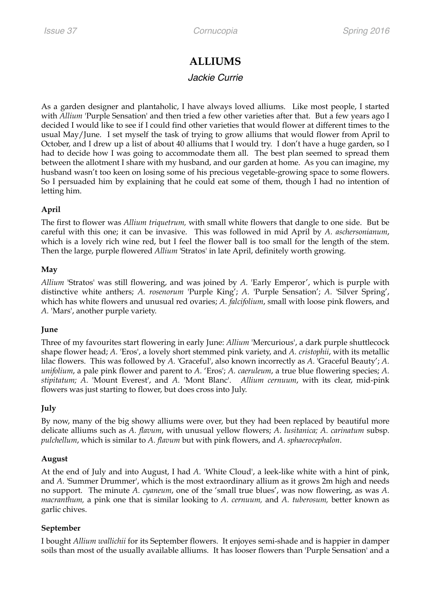# **ALLIUMS**

## *Jackie Currie*

As a garden designer and plantaholic, I have always loved alliums. Like most people, I started with *Allium* 'Purple Sensation' and then tried a few other varieties after that. But a few years ago I decided I would like to see if I could find other varieties that would flower at different times to the usual May/June. I set myself the task of trying to grow alliums that would flower from April to October, and I drew up a list of about 40 alliums that I would try. I don't have a huge garden, so I had to decide how I was going to accommodate them all. The best plan seemed to spread them between the allotment I share with my husband, and our garden at home. As you can imagine, my husband wasn't too keen on losing some of his precious vegetable-growing space to some flowers. So I persuaded him by explaining that he could eat some of them, though I had no intention of letting him.

### **April**

The first to flower was *Allium triquetrum,* with small white flowers that dangle to one side. But be careful with this one; it can be invasive. This was followed in mid April by *A. aschersonianum*, which is a lovely rich wine red, but I feel the flower ball is too small for the length of the stem. Then the large, purple flowered *Allium* 'Stratos' in late April, definitely worth growing.

#### **May**

*Allium* 'Stratos' was still flowering, and was joined by *A.* 'Early Emperor', which is purple with distinctive white anthers; *A. rosenorum* 'Purple King'; *A.* 'Purple Sensation'; *A.* 'Silver Spring', which has white flowers and unusual red ovaries; *A. falcifolium*, small with loose pink flowers, and *A.* 'Mars', another purple variety.

#### **June**

Three of my favourites start flowering in early June: *Allium* 'Mercurious', a dark purple shuttlecock shape flower head; *A.* 'Eros', a lovely short stemmed pink variety, and *A. cristophii*, with its metallic lilac flowers. This was followed by *A.* 'Graceful', also known incorrectly as *A.* 'Graceful Beauty'; *A. unifolium*, a pale pink flower and parent to *A.* 'Eros'; *A. caeruleum*, a true blue flowering species; *A. stipitatum; A.* 'Mount Everest', and *A.* 'Mont Blanc'. *Allium cernuum*, with its clear, mid-pink flowers was just starting to flower, but does cross into July.

#### **July**

By now, many of the big showy alliums were over, but they had been replaced by beautiful more delicate alliums such as *A. flavum*, with unusual yellow flowers; *A. lusitanica; A. carinatum* subsp. *pulchellum*, which is similar to *A. flavum* but with pink flowers, and *A. sphaerocephalon*.

#### **August**

At the end of July and into August, I had *A.* 'White Cloud', a leek-like white with a hint of pink, and *A.* 'Summer Drummer', which is the most extraordinary allium as it grows 2m high and needs no support. The minute *A. cyaneum*, one of the 'small true blues', was now flowering, as was *A. macranthum,* a pink one that is similar looking to *A. cernuum,* and *A. tuberosum,* better known as garlic chives.

#### **September**

I bought *Allium wallichii* for its September flowers. It enjoyes semi-shade and is happier in damper soils than most of the usually available alliums. It has looser flowers than 'Purple Sensation' and a